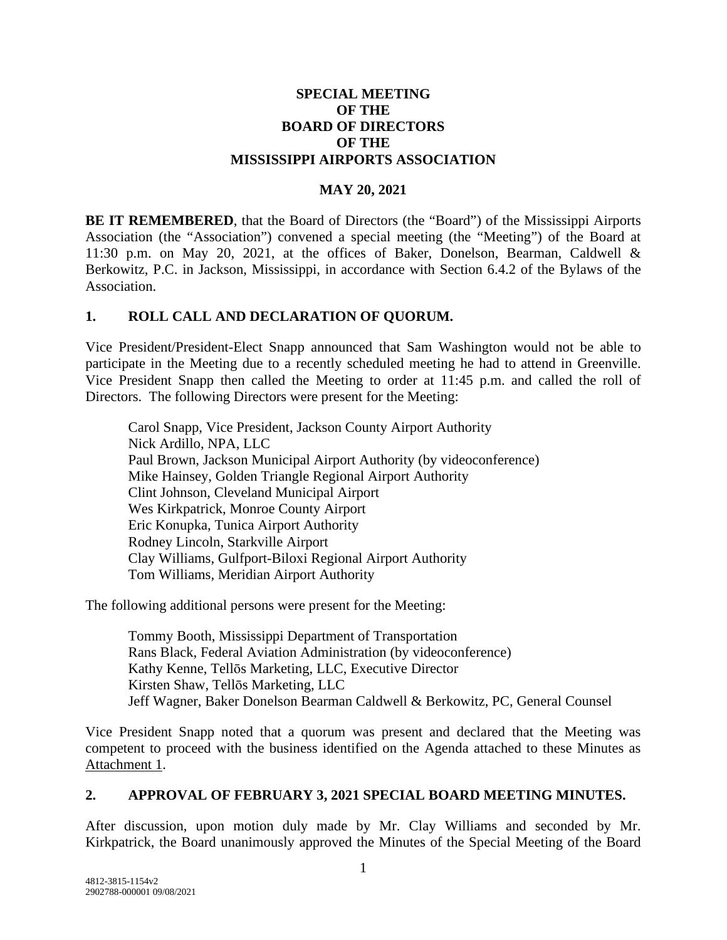#### **SPECIAL MEETING OF THE BOARD OF DIRECTORS OF THE MISSISSIPPI AIRPORTS ASSOCIATION**

#### **MAY 20, 2021**

**BE IT REMEMBERED**, that the Board of Directors (the "Board") of the Mississippi Airports Association (the "Association") convened a special meeting (the "Meeting") of the Board at 11:30 p.m. on May 20, 2021, at the offices of Baker, Donelson, Bearman, Caldwell & Berkowitz, P.C. in Jackson, Mississippi, in accordance with Section 6.4.2 of the Bylaws of the Association.

#### **1. ROLL CALL AND DECLARATION OF QUORUM.**

Vice President/President-Elect Snapp announced that Sam Washington would not be able to participate in the Meeting due to a recently scheduled meeting he had to attend in Greenville. Vice President Snapp then called the Meeting to order at 11:45 p.m. and called the roll of Directors. The following Directors were present for the Meeting:

Carol Snapp, Vice President, Jackson County Airport Authority Nick Ardillo, NPA, LLC Paul Brown, Jackson Municipal Airport Authority (by videoconference) Mike Hainsey, Golden Triangle Regional Airport Authority Clint Johnson, Cleveland Municipal Airport Wes Kirkpatrick, Monroe County Airport Eric Konupka, Tunica Airport Authority Rodney Lincoln, Starkville Airport Clay Williams, Gulfport-Biloxi Regional Airport Authority Tom Williams, Meridian Airport Authority

The following additional persons were present for the Meeting:

Tommy Booth, Mississippi Department of Transportation Rans Black, Federal Aviation Administration (by videoconference) Kathy Kenne, Tellōs Marketing, LLC, Executive Director Kirsten Shaw, Tellōs Marketing, LLC Jeff Wagner, Baker Donelson Bearman Caldwell & Berkowitz, PC, General Counsel

Vice President Snapp noted that a quorum was present and declared that the Meeting was competent to proceed with the business identified on the Agenda attached to these Minutes as Attachment 1.

#### **2. APPROVAL OF FEBRUARY 3, 2021 SPECIAL BOARD MEETING MINUTES.**

After discussion, upon motion duly made by Mr. Clay Williams and seconded by Mr. Kirkpatrick, the Board unanimously approved the Minutes of the Special Meeting of the Board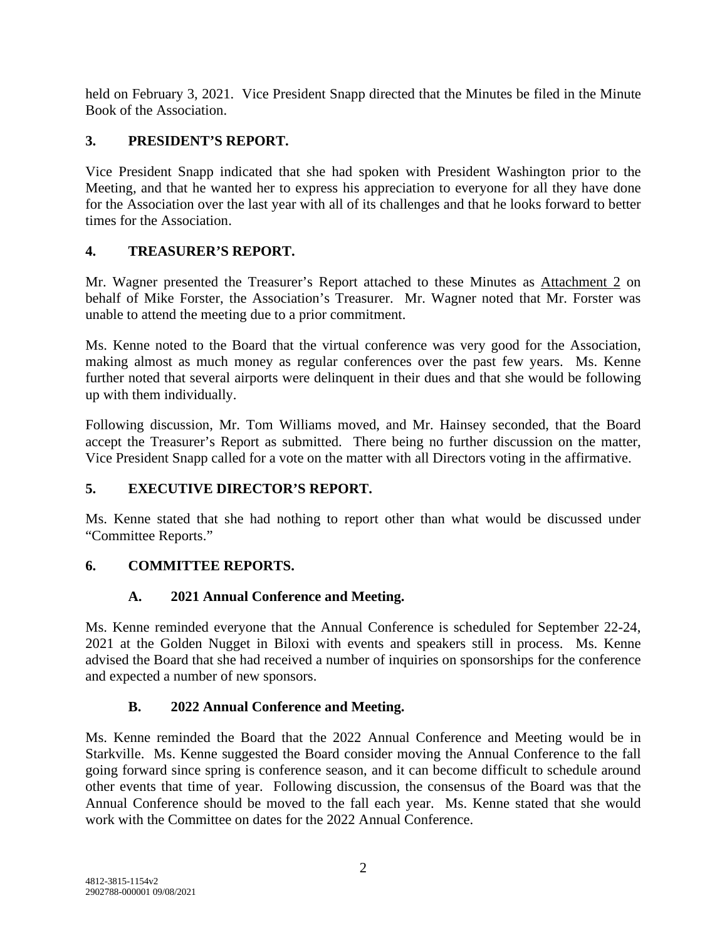held on February 3, 2021. Vice President Snapp directed that the Minutes be filed in the Minute Book of the Association.

#### **3. PRESIDENT'S REPORT.**

Vice President Snapp indicated that she had spoken with President Washington prior to the Meeting, and that he wanted her to express his appreciation to everyone for all they have done for the Association over the last year with all of its challenges and that he looks forward to better times for the Association.

#### **4. TREASURER'S REPORT.**

Mr. Wagner presented the Treasurer's Report attached to these Minutes as Attachment 2 on behalf of Mike Forster, the Association's Treasurer. Mr. Wagner noted that Mr. Forster was unable to attend the meeting due to a prior commitment.

Ms. Kenne noted to the Board that the virtual conference was very good for the Association, making almost as much money as regular conferences over the past few years. Ms. Kenne further noted that several airports were delinquent in their dues and that she would be following up with them individually.

Following discussion, Mr. Tom Williams moved, and Mr. Hainsey seconded, that the Board accept the Treasurer's Report as submitted. There being no further discussion on the matter, Vice President Snapp called for a vote on the matter with all Directors voting in the affirmative.

## **5. EXECUTIVE DIRECTOR'S REPORT.**

Ms. Kenne stated that she had nothing to report other than what would be discussed under "Committee Reports."

## **6. COMMITTEE REPORTS.**

## **A. 2021 Annual Conference and Meeting.**

Ms. Kenne reminded everyone that the Annual Conference is scheduled for September 22-24, 2021 at the Golden Nugget in Biloxi with events and speakers still in process. Ms. Kenne advised the Board that she had received a number of inquiries on sponsorships for the conference and expected a number of new sponsors.

## **B. 2022 Annual Conference and Meeting.**

Ms. Kenne reminded the Board that the 2022 Annual Conference and Meeting would be in Starkville. Ms. Kenne suggested the Board consider moving the Annual Conference to the fall going forward since spring is conference season, and it can become difficult to schedule around other events that time of year. Following discussion, the consensus of the Board was that the Annual Conference should be moved to the fall each year. Ms. Kenne stated that she would work with the Committee on dates for the 2022 Annual Conference.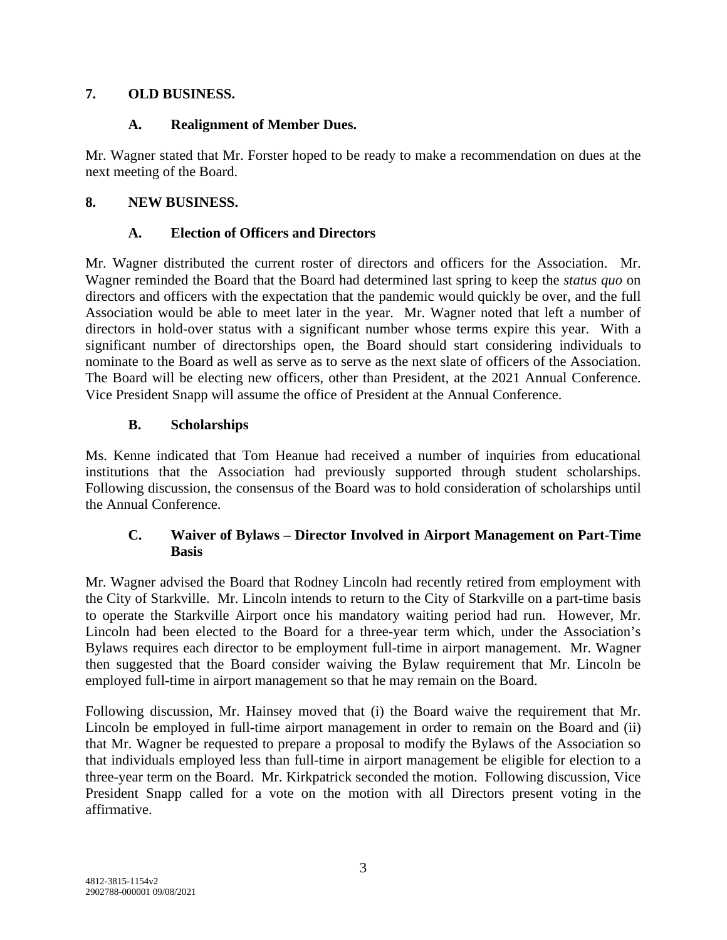#### **7. OLD BUSINESS.**

#### **A. Realignment of Member Dues.**

Mr. Wagner stated that Mr. Forster hoped to be ready to make a recommendation on dues at the next meeting of the Board.

#### **8. NEW BUSINESS.**

#### **A. Election of Officers and Directors**

Mr. Wagner distributed the current roster of directors and officers for the Association. Mr. Wagner reminded the Board that the Board had determined last spring to keep the *status quo* on directors and officers with the expectation that the pandemic would quickly be over, and the full Association would be able to meet later in the year. Mr. Wagner noted that left a number of directors in hold-over status with a significant number whose terms expire this year. With a significant number of directorships open, the Board should start considering individuals to nominate to the Board as well as serve as to serve as the next slate of officers of the Association. The Board will be electing new officers, other than President, at the 2021 Annual Conference. Vice President Snapp will assume the office of President at the Annual Conference.

#### **B. Scholarships**

Ms. Kenne indicated that Tom Heanue had received a number of inquiries from educational institutions that the Association had previously supported through student scholarships. Following discussion, the consensus of the Board was to hold consideration of scholarships until the Annual Conference.

#### **C. Waiver of Bylaws – Director Involved in Airport Management on Part-Time Basis**

Mr. Wagner advised the Board that Rodney Lincoln had recently retired from employment with the City of Starkville. Mr. Lincoln intends to return to the City of Starkville on a part-time basis to operate the Starkville Airport once his mandatory waiting period had run. However, Mr. Lincoln had been elected to the Board for a three-year term which, under the Association's Bylaws requires each director to be employment full-time in airport management. Mr. Wagner then suggested that the Board consider waiving the Bylaw requirement that Mr. Lincoln be employed full-time in airport management so that he may remain on the Board.

Following discussion, Mr. Hainsey moved that (i) the Board waive the requirement that Mr. Lincoln be employed in full-time airport management in order to remain on the Board and (ii) that Mr. Wagner be requested to prepare a proposal to modify the Bylaws of the Association so that individuals employed less than full-time in airport management be eligible for election to a three-year term on the Board. Mr. Kirkpatrick seconded the motion. Following discussion, Vice President Snapp called for a vote on the motion with all Directors present voting in the affirmative.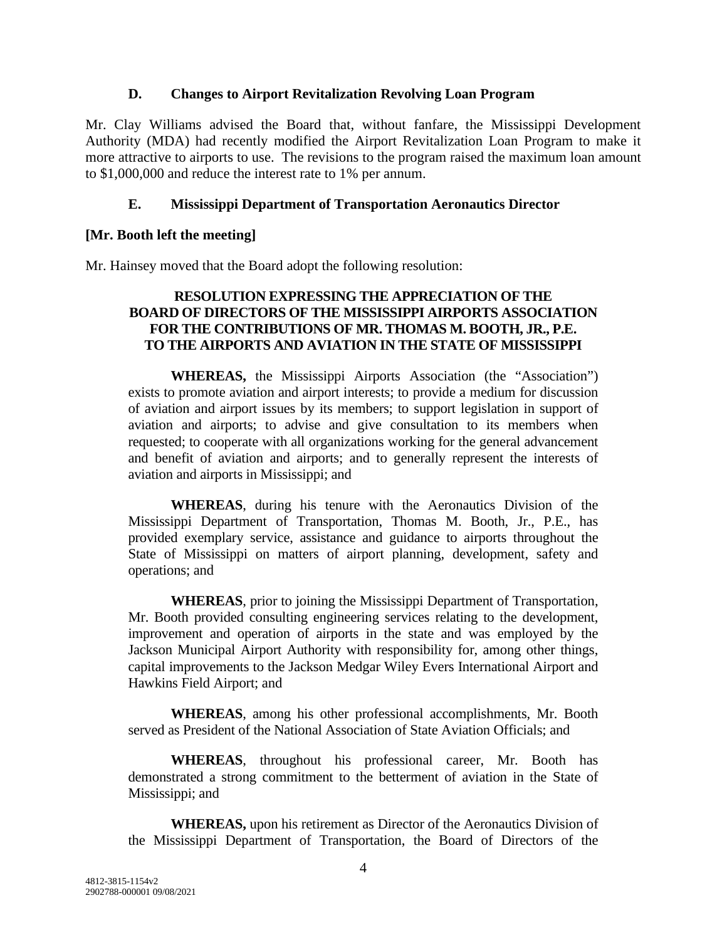#### **D. Changes to Airport Revitalization Revolving Loan Program**

Mr. Clay Williams advised the Board that, without fanfare, the Mississippi Development Authority (MDA) had recently modified the Airport Revitalization Loan Program to make it more attractive to airports to use. The revisions to the program raised the maximum loan amount to \$1,000,000 and reduce the interest rate to 1% per annum.

#### **E. Mississippi Department of Transportation Aeronautics Director**

#### **[Mr. Booth left the meeting]**

Mr. Hainsey moved that the Board adopt the following resolution:

#### **RESOLUTION EXPRESSING THE APPRECIATION OF THE BOARD OF DIRECTORS OF THE MISSISSIPPI AIRPORTS ASSOCIATION FOR THE CONTRIBUTIONS OF MR. THOMAS M. BOOTH, JR., P.E. TO THE AIRPORTS AND AVIATION IN THE STATE OF MISSISSIPPI**

**WHEREAS,** the Mississippi Airports Association (the "Association") exists to promote aviation and airport interests; to provide a medium for discussion of aviation and airport issues by its members; to support legislation in support of aviation and airports; to advise and give consultation to its members when requested; to cooperate with all organizations working for the general advancement and benefit of aviation and airports; and to generally represent the interests of aviation and airports in Mississippi; and

**WHEREAS**, during his tenure with the Aeronautics Division of the Mississippi Department of Transportation, Thomas M. Booth, Jr., P.E., has provided exemplary service, assistance and guidance to airports throughout the State of Mississippi on matters of airport planning, development, safety and operations; and

**WHEREAS**, prior to joining the Mississippi Department of Transportation, Mr. Booth provided consulting engineering services relating to the development, improvement and operation of airports in the state and was employed by the Jackson Municipal Airport Authority with responsibility for, among other things, capital improvements to the Jackson Medgar Wiley Evers International Airport and Hawkins Field Airport; and

**WHEREAS**, among his other professional accomplishments, Mr. Booth served as President of the National Association of State Aviation Officials; and

**WHEREAS**, throughout his professional career, Mr. Booth has demonstrated a strong commitment to the betterment of aviation in the State of Mississippi; and

**WHEREAS,** upon his retirement as Director of the Aeronautics Division of the Mississippi Department of Transportation, the Board of Directors of the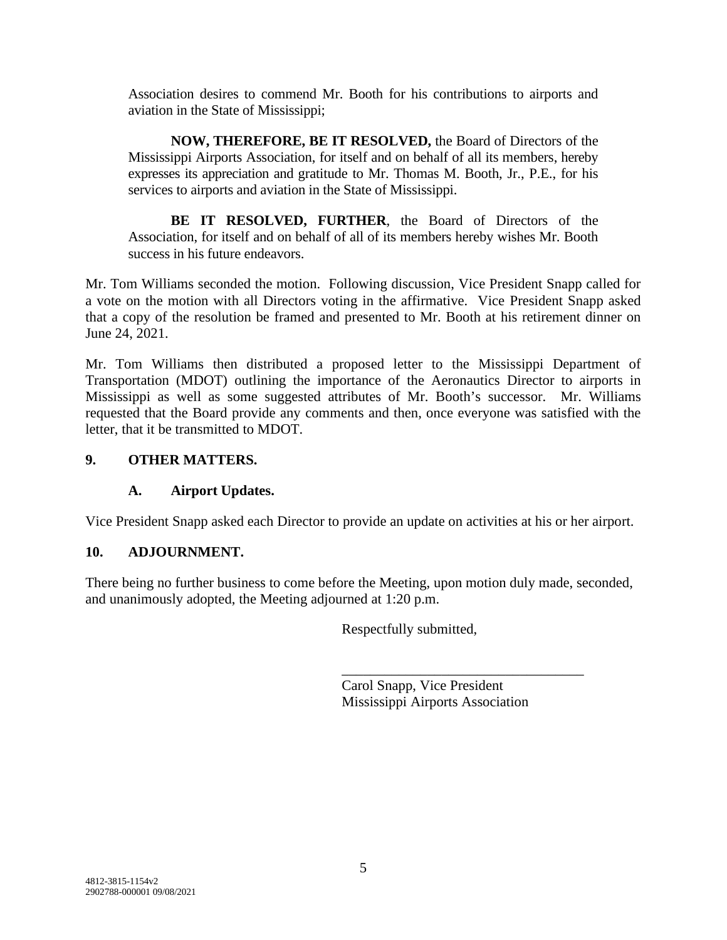Association desires to commend Mr. Booth for his contributions to airports and aviation in the State of Mississippi;

**NOW, THEREFORE, BE IT RESOLVED,** the Board of Directors of the Mississippi Airports Association, for itself and on behalf of all its members, hereby expresses its appreciation and gratitude to Mr. Thomas M. Booth, Jr., P.E., for his services to airports and aviation in the State of Mississippi.

**BE IT RESOLVED, FURTHER**, the Board of Directors of the Association, for itself and on behalf of all of its members hereby wishes Mr. Booth success in his future endeavors.

Mr. Tom Williams seconded the motion. Following discussion, Vice President Snapp called for a vote on the motion with all Directors voting in the affirmative. Vice President Snapp asked that a copy of the resolution be framed and presented to Mr. Booth at his retirement dinner on June 24, 2021.

Mr. Tom Williams then distributed a proposed letter to the Mississippi Department of Transportation (MDOT) outlining the importance of the Aeronautics Director to airports in Mississippi as well as some suggested attributes of Mr. Booth's successor. Mr. Williams requested that the Board provide any comments and then, once everyone was satisfied with the letter, that it be transmitted to MDOT.

#### **9. OTHER MATTERS.**

#### **A. Airport Updates.**

Vice President Snapp asked each Director to provide an update on activities at his or her airport.

#### **10. ADJOURNMENT.**

There being no further business to come before the Meeting, upon motion duly made, seconded, and unanimously adopted, the Meeting adjourned at 1:20 p.m.

Respectfully submitted,

Carol Snapp, Vice President Mississippi Airports Association

\_\_\_\_\_\_\_\_\_\_\_\_\_\_\_\_\_\_\_\_\_\_\_\_\_\_\_\_\_\_\_\_\_\_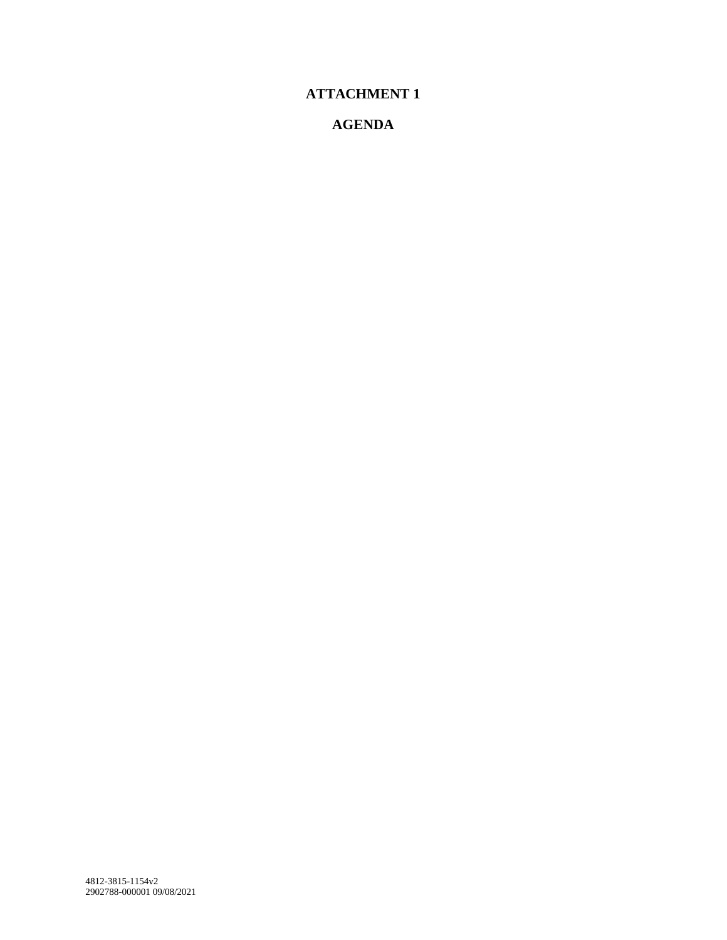# **ATTACHMENT 1**

## **AGENDA**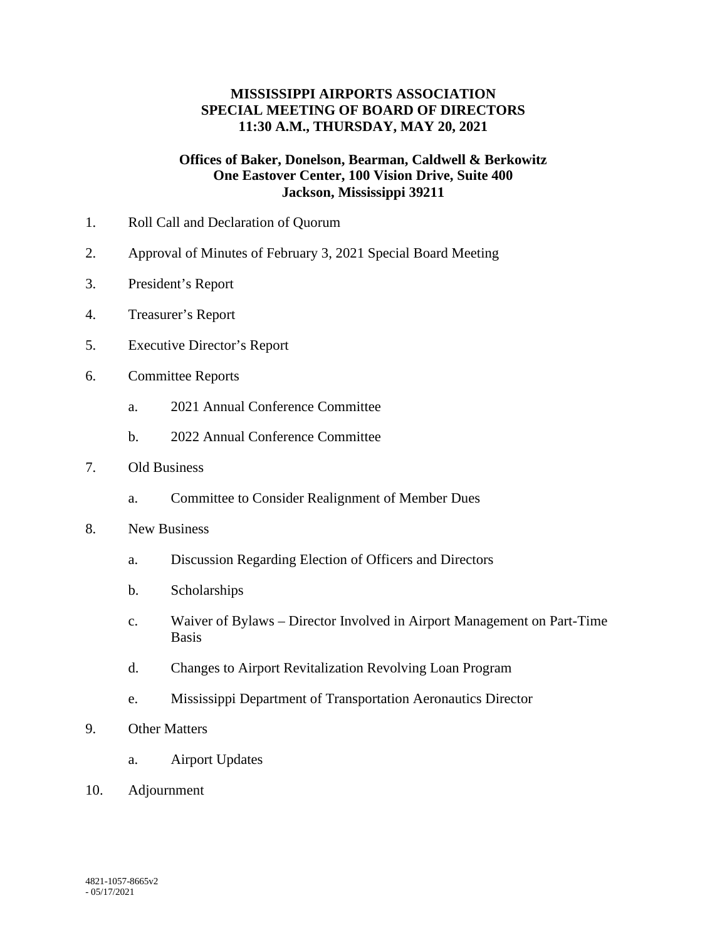#### **MISSISSIPPI AIRPORTS ASSOCIATION SPECIAL MEETING OF BOARD OF DIRECTORS 11:30 A.M., THURSDAY, MAY 20, 2021**

#### **Offices of Baker, Donelson, Bearman, Caldwell & Berkowitz One Eastover Center, 100 Vision Drive, Suite 400 Jackson, Mississippi 39211**

- 1. Roll Call and Declaration of Quorum
- 2. Approval of Minutes of February 3, 2021 Special Board Meeting
- 3. President's Report
- 4. Treasurer's Report
- 5. Executive Director's Report
- 6. Committee Reports
	- a. 2021 Annual Conference Committee
	- b. 2022 Annual Conference Committee

#### 7. Old Business

- a. Committee to Consider Realignment of Member Dues
- 8. New Business
	- a. Discussion Regarding Election of Officers and Directors
	- b. Scholarships
	- c. Waiver of Bylaws Director Involved in Airport Management on Part-Time Basis
	- d. Changes to Airport Revitalization Revolving Loan Program
	- e. Mississippi Department of Transportation Aeronautics Director
- 9. Other Matters
	- a. Airport Updates
- 10. Adjournment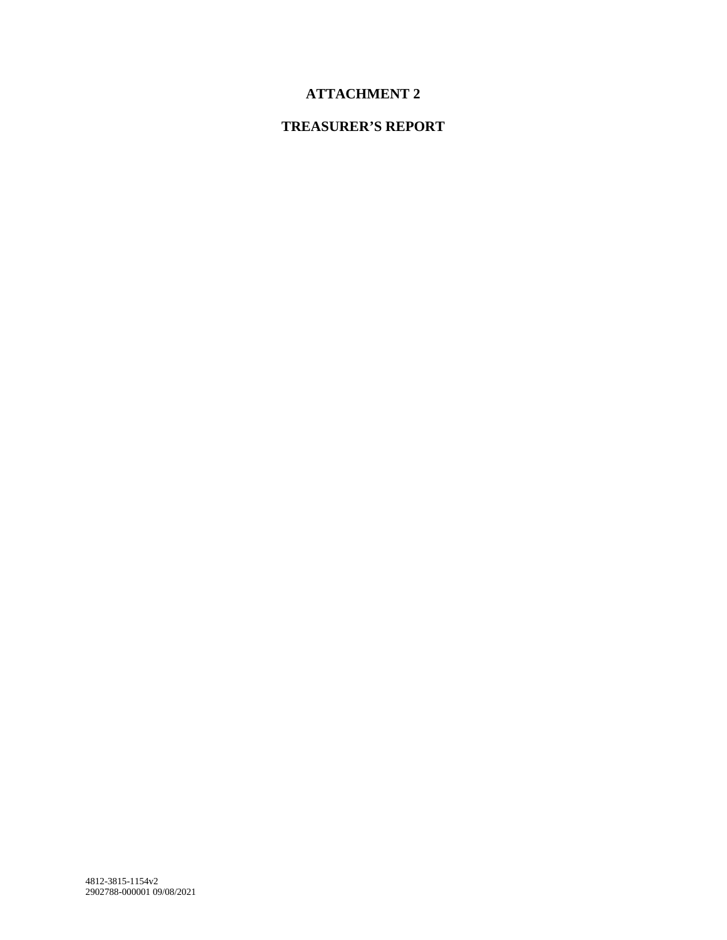# **ATTACHMENT 2**

# **TREASURER'S REPORT**

4812-3815-1154v2 2902788-000001 09/08/2021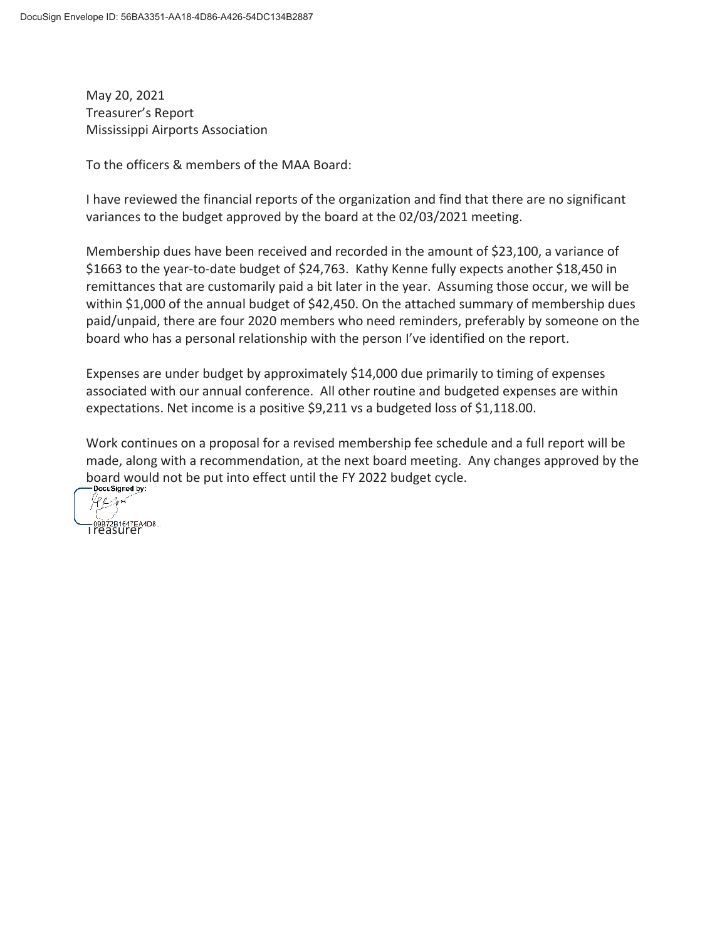May 20, 2021 Treasurer's Report Mississippi Airports Association

To the officers & members of the MAA Board:

I have reviewed the financial reports of the organization and find that there are no significant variances to the budget approved by the board at the 02/03/2021 meeting.

Membership dues have been received and recorded in the amount of \$23,100, a variance of \$1663 to the year-to-date budget of \$24,763. Kathy Kenne fully expects another \$18,450 in remittances that are customarily paid a bit later in the year. Assuming those occur, we will be within \$1,000 of the annual budget of \$42,450. On the attached summary of membership dues paid/unpaid, there are four 2020 members who need reminders, preferably by someone on the board who has a personal relationship with the person I've identified on the report.

Expenses are under budget by approximately \$14,000 due primarily to timing of expenses associated with our annual conference. All other routine and budgeted expenses are within expectations. Net income is a positive \$9,211 vs a budgeted loss of \$1,118.00.

Work continues on a proposal for a revised membership fee schedule and a full report will be made, along with a recommendation, at the next board meeting. Any changes approved by the board would not be put into effect until the FY 2022 budget cycle.

DocuSigned by: 90 Arst —орв72в1647ЕА4D8...<br>Treasurer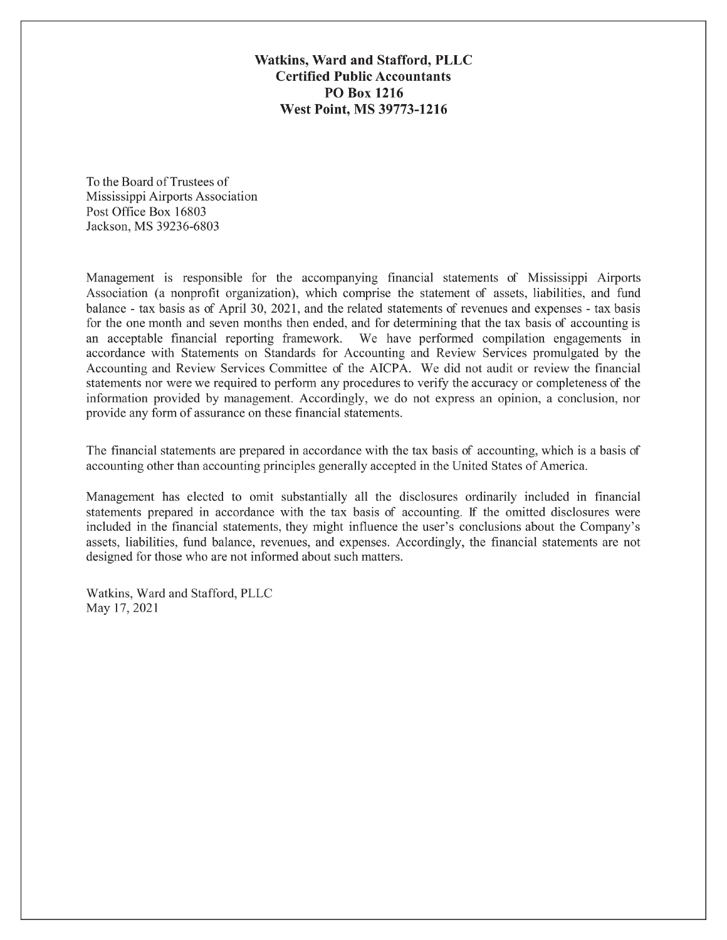Watkins, Ward and Stafford, PLLC **Certified Public Accountants PO Box 1216 West Point, MS 39773-1216** 

To the Board of Trustees of Mississippi Airports Association Post Office Box 16803 Jackson, MS 39236-6803

Management is responsible for the accompanying financial statements of Mississippi Airports Association (a nonprofit organization), which comprise the statement of assets, liabilities, and fund balance - tax basis as of April 30, 2021, and the related statements of revenues and expenses - tax basis for the one month and seven months then ended, and for determining that the tax basis of accounting is an acceptable financial reporting framework. We have performed compilation engagements in accordance with Statements on Standards for Accounting and Review Services promulgated by the Accounting and Review Services Committee of the AICPA. We did not audit or review the financial statements nor were we required to perform any procedures to verify the accuracy or completeness of the information provided by management. Accordingly, we do not express an opinion, a conclusion, nor provide any form of assurance on these financial statements.

The financial statements are prepared in accordance with the tax basis of accounting, which is a basis of accounting other than accounting principles generally accepted in the United States of America.

Management has elected to omit substantially all the disclosures ordinarily included in financial statements prepared in accordance with the tax basis of accounting. If the omitted disclosures were included in the financial statements, they might influence the user's conclusions about the Company's assets, liabilities, fund balance, revenues, and expenses. Accordingly, the financial statements are not designed for those who are not informed about such matters.

Watkins, Ward and Stafford, PLLC May 17, 2021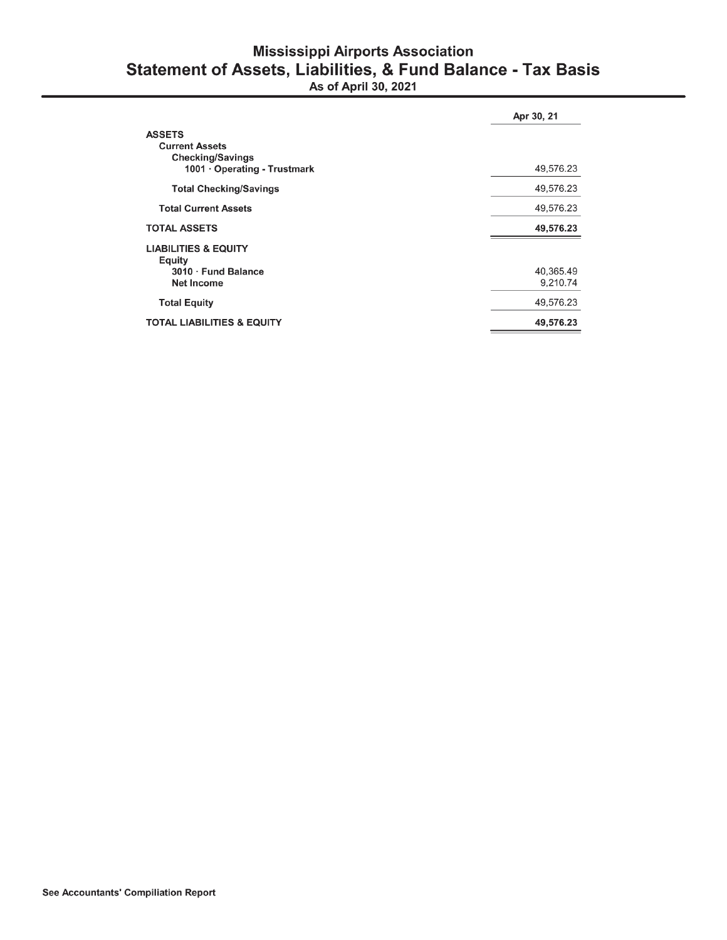# **Mississippi Airports Association** Statement of Assets, Liabilities, & Fund Balance - Tax Basis<br>As of April 30, 2021

|                                                                                                   | Apr 30, 21            |
|---------------------------------------------------------------------------------------------------|-----------------------|
| <b>ASSETS</b><br><b>Current Assets</b><br><b>Checking/Savings</b><br>1001 · Operating - Trustmark | 49,576.23             |
| <b>Total Checking/Savings</b>                                                                     | 49,576.23             |
| <b>Total Current Assets</b>                                                                       | 49,576.23             |
| <b>TOTAL ASSETS</b>                                                                               | 49,576.23             |
| <b>LIABILITIES &amp; EQUITY</b><br>Equity<br>3010 · Fund Balance<br><b>Net Income</b>             | 40,365.49<br>9,210.74 |
| <b>Total Equity</b>                                                                               | 49,576.23             |
| <b>TOTAL LIABILITIES &amp; EQUITY</b>                                                             | 49,576.23             |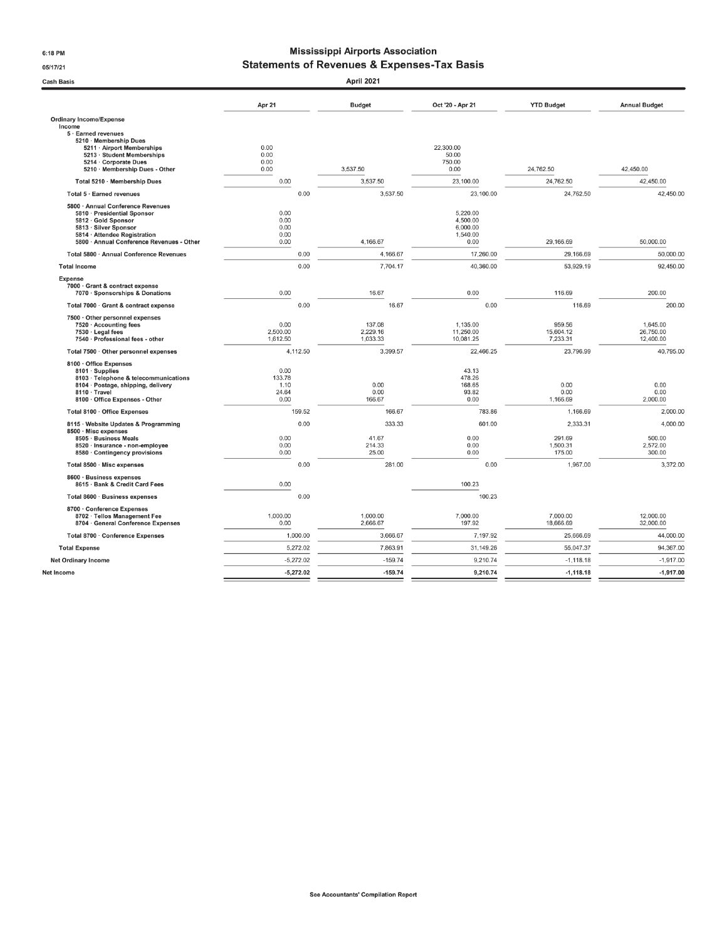6:18 PM

05/17/21

#### **Mississippi Airports Association Statements of Revenues & Expenses-Tax Basis**

| <b>Cash Basis</b>                                                                                                                                                                             |                                         | April 2021                         |                                                      |                                          |                                          |
|-----------------------------------------------------------------------------------------------------------------------------------------------------------------------------------------------|-----------------------------------------|------------------------------------|------------------------------------------------------|------------------------------------------|------------------------------------------|
|                                                                                                                                                                                               | Apr 21                                  | <b>Budget</b>                      | Oct '20 - Apr 21                                     | <b>YTD Budget</b>                        | <b>Annual Budget</b>                     |
| <b>Ordinary Income/Expense</b>                                                                                                                                                                |                                         |                                    |                                                      |                                          |                                          |
| Income<br>5 · Earned revenues<br>5210 · Membership Dues<br>5211 · Airport Memberships<br>5213 · Student Memberships<br>5214 Corporate Dues<br>5210 · Membership Dues - Other                  | 0.00<br>0.00<br>0.00<br>0.00            | 3,537.50                           | 22,300.00<br>50.00<br>750.00<br>0.00                 | 24,762.50                                | 42,450.00                                |
| Total 5210 · Membership Dues                                                                                                                                                                  | 0.00                                    | 3,537.50                           | 23,100.00                                            | 24,762.50                                | 42,450.00                                |
| Total 5 · Earned revenues                                                                                                                                                                     | 0.00                                    | 3,537.50                           | 23,100.00                                            | 24,762.50                                | 42,450.00                                |
| 5800 · Annual Conference Revenues<br>5810 · Presidential Sponsor<br>5812 · Gold Sponsor<br>5813 · Silver Sponsor<br>5814 · Attendee Registration<br>5800 · Annual Conference Revenues - Other | 0.00<br>0.00<br>0.00<br>0.00<br>0.00    | 4,166.67                           | 5,220.00<br>4,500.00<br>6,000.00<br>1,540.00<br>0.00 | 29,166.69                                | 50,000.00                                |
| Total 5800 · Annual Conference Revenues                                                                                                                                                       | 0.00                                    | 4,166.67                           | 17,260.00                                            | 29,166.69                                | 50,000.00                                |
| <b>Total Income</b>                                                                                                                                                                           | 0.00                                    | 7,704.17                           | 40,360.00                                            | 53,929.19                                | 92,450.00                                |
| <b>Expense</b><br>7000 Grant & contract expense<br>7070 · Sponsorships & Donations                                                                                                            | 0.00                                    | 16.67                              | 0.00                                                 | 116.69                                   | 200.00                                   |
| Total 7000 · Grant & contract expense                                                                                                                                                         | 0.00                                    | 16.67                              | 0.00                                                 | 116.69                                   | 200.00                                   |
| 7500 · Other personnel expenses<br>7520 · Accounting fees<br>7530 · Legal fees<br>7540 · Professional fees - other                                                                            | 0.00<br>2,500.00<br>1,612.50            | 137.08<br>2,229.16<br>1,033.33     | 1,135.00<br>11,250.00<br>10,081.25                   | 959.56<br>15,604.12<br>7,233.31          | 1,645.00<br>26,750.00<br>12,400.00       |
| Total 7500 · Other personnel expenses                                                                                                                                                         | 4,112.50                                | 3,399.57                           | 22,466.25                                            | 23,796.99                                | 40,795.00                                |
| 8100 Office Expenses<br>8101 · Supplies<br>8103 · Telephone & telecommunications<br>8104 · Postage, shipping, delivery<br>8110 · Travel<br>8100 · Office Expenses - Other                     | 0.00<br>133.78<br>1.10<br>24.64<br>0.00 | 0.00<br>0.00<br>166.67             | 43.13<br>478.26<br>168.65<br>93.82<br>0.00           | 0.00<br>0.00<br>1,166.69                 | 0.00<br>0.00<br>2,000.00                 |
| Total 8100 · Office Expenses                                                                                                                                                                  | 159.52                                  | 166.67                             | 783.86                                               | 1,166.69                                 | 2,000.00                                 |
| 8115 · Website Updates & Programming<br>8500 · Misc expenses<br>8505 · Business Meals<br>8520 · Insurance - non-employee<br>8580 · Contingency provisions                                     | 0.00<br>0.00<br>0.00<br>0.00            | 333.33<br>41.67<br>214.33<br>25.00 | 601.00<br>0.00<br>0.00<br>0.00                       | 2,333.31<br>291.69<br>1,500.31<br>175.00 | 4,000.00<br>500.00<br>2,572.00<br>300.00 |
| Total 8500 · Misc expenses                                                                                                                                                                    | 0.00                                    | 281.00                             | 0.00                                                 | 1,967.00                                 | 3,372.00                                 |
| 8600 · Business expenses<br>8615 · Bank & Credit Card Fees                                                                                                                                    | 0.00                                    |                                    | 100.23                                               |                                          |                                          |
| Total 8600 · Business expenses                                                                                                                                                                | 0.00                                    |                                    | 100.23                                               |                                          |                                          |
| 8700 · Conference Expenses<br>8702 · Tellos Management Fee<br>8704 · General Conference Expenses                                                                                              | 1,000.00<br>0.00                        | 1,000.00<br>2,666.67               | 7,000.00<br>197.92                                   | 7,000.00<br>18,666.69                    | 12,000.00<br>32,000.00                   |
| Total 8700 · Conference Expenses                                                                                                                                                              | 1,000.00                                | 3,666.67                           | 7,197.92                                             | 25,666.69                                | 44,000.00                                |
| <b>Total Expense</b>                                                                                                                                                                          | 5,272.02                                | 7,863.91                           | 31,149.26                                            | 55,047.37                                | 94,367.00                                |
| <b>Net Ordinary Income</b>                                                                                                                                                                    | $-5,272.02$                             | $-159.74$                          | 9,210.74                                             | $-1,118.18$                              | $-1,917.00$                              |
| Net Income                                                                                                                                                                                    | $-5,272.02$                             | $-159.74$                          | 9,210.74                                             | $-1,118.18$                              | $-1,917.00$                              |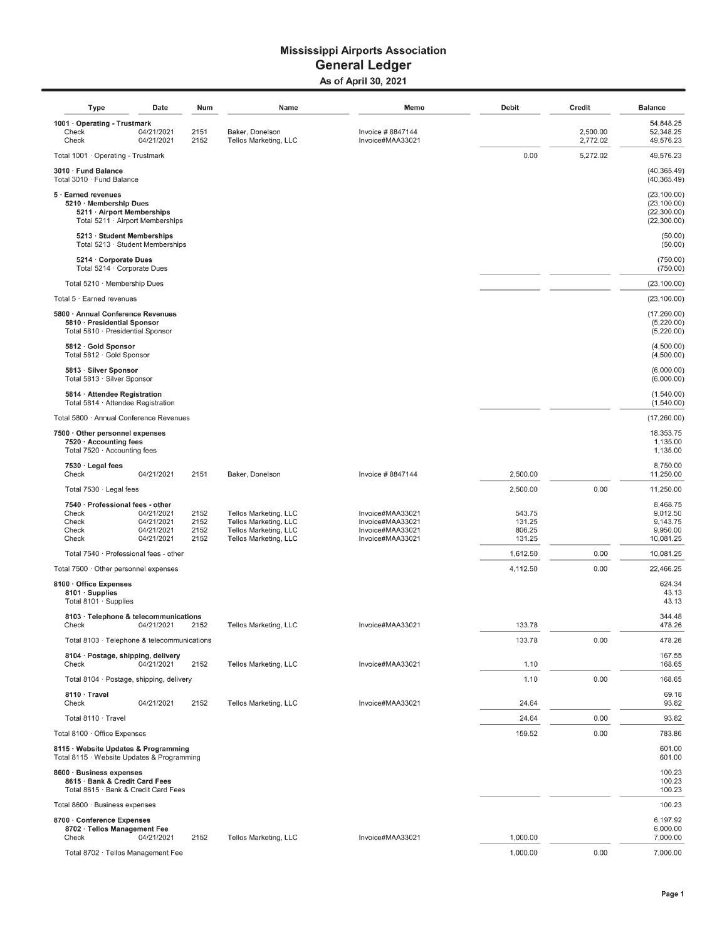#### **Mississippi Airports Association General Ledger** As of April 30, 2021

| Type                                                                                                            | Date                                                 | Num                          | Name                                                                                             | Memo                                                                         | <b>Debit</b>                         | Credit               | <b>Balance</b>                                              |
|-----------------------------------------------------------------------------------------------------------------|------------------------------------------------------|------------------------------|--------------------------------------------------------------------------------------------------|------------------------------------------------------------------------------|--------------------------------------|----------------------|-------------------------------------------------------------|
| 1001 · Operating - Trustmark<br>Check<br>Check                                                                  | 04/21/2021<br>04/21/2021                             | 2151<br>2152                 | Baker, Donelson<br>Tellos Marketing, LLC                                                         | Invoice #8847144<br>Invoice#MAA33021                                         |                                      | 2,500.00<br>2,772.02 | 54,848.25<br>52,348.25<br>49,576.23                         |
| Total 1001 · Operating - Trustmark                                                                              |                                                      |                              |                                                                                                  |                                                                              | 0.00                                 | 5,272.02             | 49,576.23                                                   |
| 3010 · Fund Balance<br>Total 3010 · Fund Balance                                                                |                                                      |                              |                                                                                                  |                                                                              |                                      |                      | (40, 365.49)<br>(40, 365.49)                                |
| 5 · Earned revenues<br>5210 · Membership Dues<br>5211 · Airport Memberships<br>Total 5211 · Airport Memberships |                                                      |                              |                                                                                                  |                                                                              |                                      |                      | (23, 100.00)<br>(23, 100.00)<br>(22, 300.00)<br>(22,300.00) |
| 5213 · Student Memberships<br>Total 5213 · Student Memberships                                                  |                                                      |                              |                                                                                                  |                                                                              |                                      |                      | (50.00)<br>(50.00)                                          |
| 5214 · Corporate Dues<br>Total 5214 · Corporate Dues                                                            |                                                      |                              |                                                                                                  |                                                                              |                                      |                      | (750.00)<br>(750.00)                                        |
| Total 5210 · Membership Dues                                                                                    |                                                      |                              |                                                                                                  |                                                                              |                                      |                      | (23, 100.00)                                                |
| Total 5 · Earned revenues                                                                                       |                                                      |                              |                                                                                                  |                                                                              |                                      |                      | (23, 100.00)                                                |
| 5800 · Annual Conference Revenues<br>5810 · Presidential Sponsor<br>Total 5810 · Presidential Sponsor           |                                                      |                              |                                                                                                  |                                                                              |                                      |                      | (17, 260.00)<br>(5,220.00)<br>(5,220.00)                    |
| 5812 · Gold Sponsor<br>Total 5812 · Gold Sponsor                                                                |                                                      |                              |                                                                                                  |                                                                              |                                      |                      | (4,500.00)<br>(4,500.00)                                    |
| 5813 · Silver Sponsor<br>Total 5813 · Silver Sponsor                                                            |                                                      |                              |                                                                                                  |                                                                              |                                      |                      | (6,000.00)<br>(6,000.00)                                    |
| 5814 · Attendee Registration<br>Total 5814 · Attendee Registration                                              |                                                      |                              |                                                                                                  |                                                                              |                                      |                      | (1,540.00)<br>(1,540.00)                                    |
| Total 5800 · Annual Conference Revenues                                                                         |                                                      |                              |                                                                                                  |                                                                              |                                      |                      | (17,260.00)                                                 |
| 7500 · Other personnel expenses<br>7520 · Accounting fees<br>Total 7520 · Accounting fees                       |                                                      |                              |                                                                                                  |                                                                              |                                      |                      | 18,353.75<br>1,135.00<br>1,135.00                           |
| 7530 · Legal fees<br>Check                                                                                      | 04/21/2021                                           | 2151                         | Baker, Donelson                                                                                  | Invoice #8847144                                                             | 2,500.00                             |                      | 8,750.00<br>11,250.00                                       |
| Total 7530 · Legal fees                                                                                         |                                                      |                              |                                                                                                  |                                                                              | 2,500.00                             | 0.00                 | 11,250.00                                                   |
| 7540 · Professional fees - other<br>Check<br>Check<br>Check<br>Check                                            | 04/21/2021<br>04/21/2021<br>04/21/2021<br>04/21/2021 | 2152<br>2152<br>2152<br>2152 | Tellos Marketing, LLC<br>Tellos Marketing, LLC<br>Tellos Marketing, LLC<br>Tellos Marketing, LLC | Invoice#MAA33021<br>Invoice#MAA33021<br>Invoice#MAA33021<br>Invoice#MAA33021 | 543.75<br>131.25<br>806.25<br>131.25 |                      | 8,468.75<br>9,012.50<br>9,143.75<br>9,950.00<br>10,081.25   |
| Total 7540 · Professional fees - other                                                                          |                                                      |                              |                                                                                                  |                                                                              | 1,612.50                             | 0.00                 | 10,081.25                                                   |
| Total 7500 · Other personnel expenses                                                                           |                                                      |                              |                                                                                                  |                                                                              | 4,112.50                             | 0.00                 | 22,466.25                                                   |
| 8100 · Office Expenses<br>8101 · Supplies<br>Total $8101 \cdot$ Supplies                                        |                                                      |                              |                                                                                                  |                                                                              |                                      |                      | 624.34<br>43.13<br>43.13                                    |
| 8103 · Telephone & telecommunications<br>Check                                                                  | 04/21/2021                                           | 2152                         | Tellos Marketing, LLC                                                                            | Invoice#MAA33021                                                             | 133.78                               |                      | 344.48<br>478.26                                            |
| Total 8103 · Telephone & telecommunications                                                                     |                                                      |                              |                                                                                                  |                                                                              | 133.78                               | 0.00                 | 478.26                                                      |
| 8104 · Postage, shipping, delivery<br>Check                                                                     | 04/21/2021                                           | 2152                         | Tellos Marketing, LLC                                                                            | Invoice#MAA33021                                                             | 1.10                                 |                      | 167.55<br>168.65                                            |
| Total 8104 · Postage, shipping, delivery                                                                        |                                                      |                              |                                                                                                  |                                                                              | 1.10                                 | 0.00                 | 168.65                                                      |
| 8110 · Travel<br>Check                                                                                          | 04/21/2021                                           | 2152                         | Tellos Marketing, LLC                                                                            | Invoice#MAA33021                                                             | 24.64                                |                      | 69.18<br>93.82                                              |
| Total 8110 · Travel                                                                                             |                                                      |                              |                                                                                                  |                                                                              | 24.64                                | 0.00                 | 93.82                                                       |
| Total 8100 · Office Expenses                                                                                    |                                                      |                              |                                                                                                  |                                                                              | 159.52                               | 0.00                 | 783.86                                                      |
| 8115 · Website Updates & Programming<br>Total 8115 · Website Updates & Programming                              |                                                      |                              |                                                                                                  |                                                                              |                                      |                      | 601.00<br>601.00                                            |
| 8600 · Business expenses<br>8615 · Bank & Credit Card Fees<br>Total 8615 · Bank & Credit Card Fees              |                                                      |                              |                                                                                                  |                                                                              |                                      |                      | 100.23<br>100.23<br>100.23                                  |
| Total 8600 · Business expenses                                                                                  |                                                      |                              |                                                                                                  |                                                                              |                                      |                      | 100.23                                                      |
| 8700 · Conference Expenses<br>8702 · Tellos Management Fee<br>Check                                             | 04/21/2021                                           | 2152                         | Tellos Marketing, LLC                                                                            | Invoice#MAA33021                                                             | 1,000.00                             |                      | 6,197.92<br>6,000.00<br>7,000.00                            |
| Total 8702 · Tellos Management Fee                                                                              |                                                      |                              |                                                                                                  |                                                                              | 1,000.00                             | 0.00                 | 7,000.00                                                    |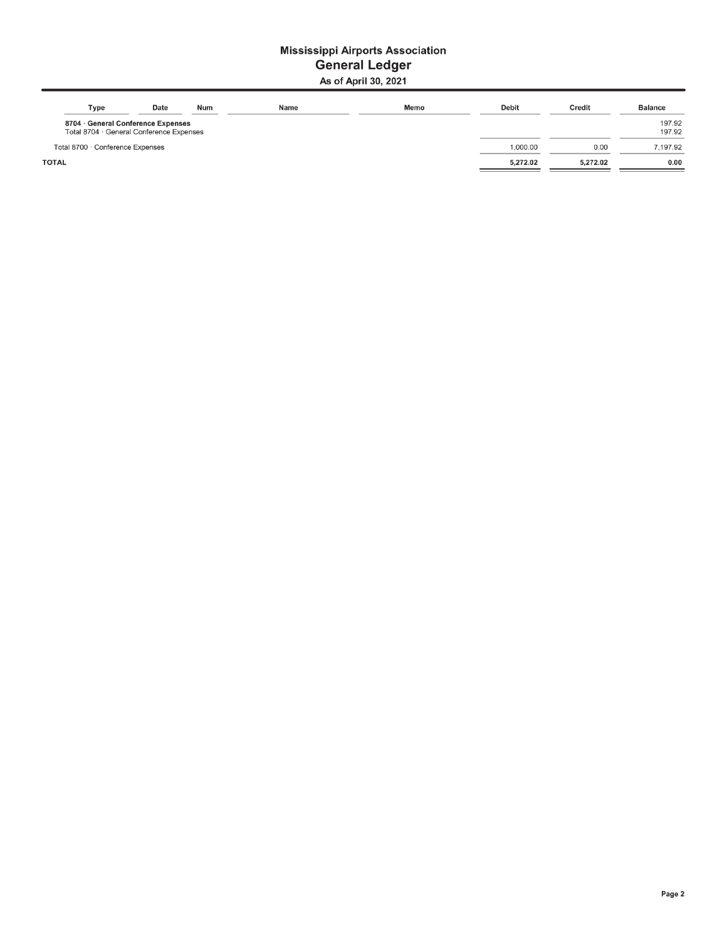#### **Mississippi Airports Association General Ledger** As of April 30, 2021

| Type                                                                           | Date | <b>Num</b> | Name | Memo | <b>Debit</b> | Credit   | <b>Balance</b>   |
|--------------------------------------------------------------------------------|------|------------|------|------|--------------|----------|------------------|
| 8704 · General Conference Expenses<br>Total 8704 · General Conference Expenses |      |            |      |      |              |          | 197.92<br>197.92 |
| Total 8700 · Conference Expenses                                               |      |            |      |      | 1.000.00     | 0.00     | 7.197.92         |
| <b>TOTAL</b>                                                                   |      |            |      |      | 5,272.02     | 5.272.02 | 0.00             |